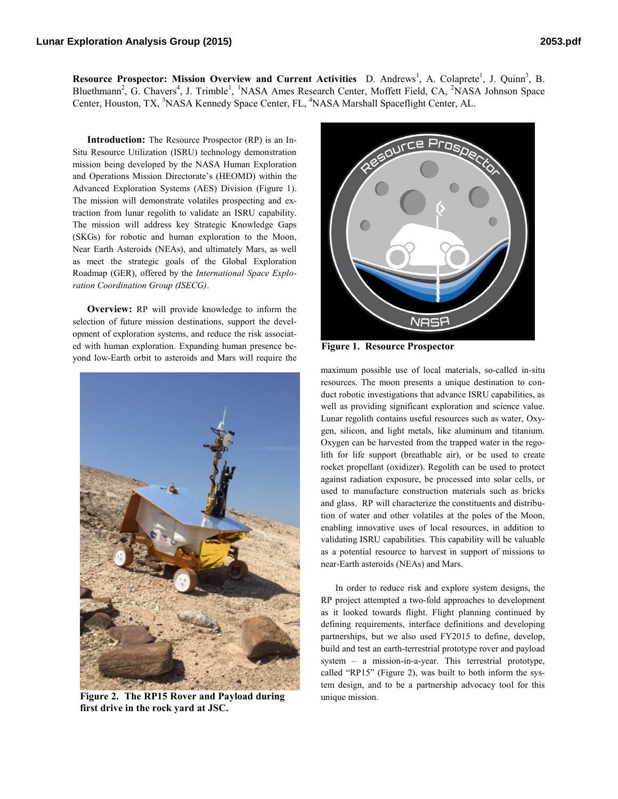Resource Prospector: Mission Overview and Current Activities D. Andrews<sup>1</sup>, A. Colaprete<sup>1</sup>, J. Quinn<sup>3</sup>, B. Bluethmann<sup>2</sup>, G. Chavers<sup>4</sup>, J. Trimble<sup>1</sup>, <sup>1</sup>NASA Ames Research Center, Moffett Field, CA, <sup>2</sup>NASA Johnson Space Center, Houston, TX, <sup>3</sup>NASA Kennedy Space Center, FL, <sup>4</sup>NASA Marshall Spaceflight Center, AL.

**Introduction:** The Resource Prospector (RP) is an In-Situ Resource Utilization (ISRU) technology demonstration mission being developed by the NASA Human Exploration and Operations Mission Directorate's (HEOMD) within the Advanced Exploration Systems (AES) Division (Figure 1). The mission will demonstrate volatiles prospecting and extraction from lunar regolith to validate an ISRU capability. The mission will address key Strategic Knowledge Gaps (SKGs) for robotic and human exploration to the Moon, Near Earth Asteroids (NEAs), and ultimately Mars, as well as meet the strategic goals of the Global Exploration Roadmap (GER), offered by the *International Space Exploration Coordination Group (ISECG)*.

**Overview:** RP will provide knowledge to inform the selection of future mission destinations, support the development of exploration systems, and reduce the risk associated with human exploration. Expanding human presence beyond low-Earth orbit to asteroids and Mars will require the



**Figure 2. The RP15 Rover and Payload during first drive in the rock yard at JSC.** 



**Figure 1. Resource Prospector**

maximum possible use of local materials, so-called in-situ resources. The moon presents a unique destination to conduct robotic investigations that advance ISRU capabilities, as well as providing significant exploration and science value. Lunar regolith contains useful resources such as water, Oxygen, silicon, and light metals, like aluminum and titanium. Oxygen can be harvested from the trapped water in the regolith for life support (breathable air), or be used to create rocket propellant (oxidizer). Regolith can be used to protect against radiation exposure, be processed into solar cells, or used to manufacture construction materials such as bricks and glass. RP will characterize the constituents and distribution of water and other volatiles at the poles of the Moon, enabling innovative uses of local resources, in addition to validating ISRU capabilities. This capability will be valuable as a potential resource to harvest in support of missions to near-Earth asteroids (NEAs) and Mars.

In order to reduce risk and explore system designs, the RP project attempted a two-fold approaches to development as it looked towards flight. Flight planning continued by defining requirements, interface definitions and developing partnerships, but we also used FY2015 to define, develop, build and test an earth-terrestrial prototype rover and payload system – a mission-in-a-year. This terrestrial prototype, called "RP15" (Figure 2), was built to both inform the system design, and to be a partnership advocacy tool for this unique mission.